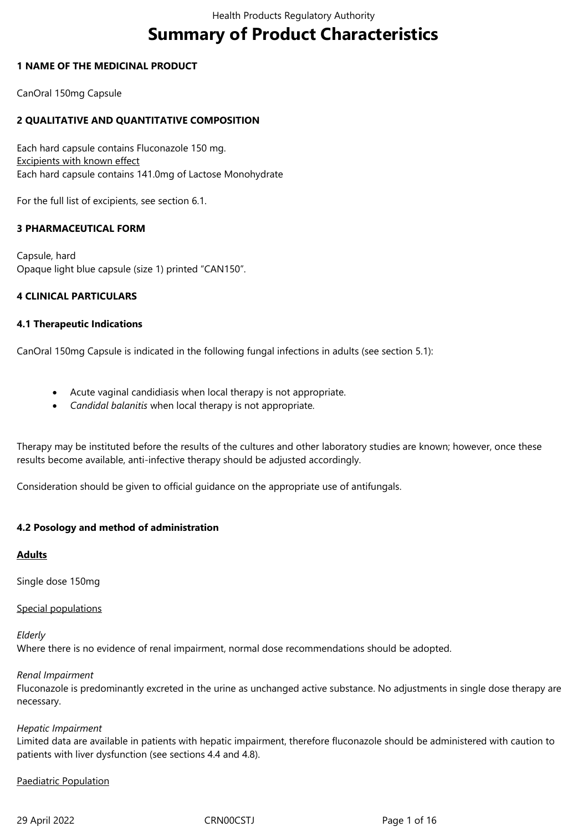# **Summary of Product Characteristics**

### **1 NAME OF THE MEDICINAL PRODUCT**

CanOral 150mg Capsule

### **2 QUALITATIVE AND QUANTITATIVE COMPOSITION**

Each hard capsule contains Fluconazole 150 mg. Excipients with known effect Each hard capsule contains 141.0mg of Lactose Monohydrate

For the full list of excipients, see section 6.1.

### **3 PHARMACEUTICAL FORM**

Capsule, hard Opaque light blue capsule (size 1) printed "CAN150".

### **4 CLINICAL PARTICULARS**

### **4.1 Therapeutic Indications**

CanOral 150mg Capsule is indicated in the following fungal infections in adults (see section 5.1):

- Acute vaginal candidiasis when local therapy is not appropriate.
- *Candidal balanitis* when local therapy is not appropriate*.*

Therapy may be instituted before the results of the cultures and other laboratory studies are known; however, once these results become available, anti-infective therapy should be adjusted accordingly.

Consideration should be given to official guidance on the appropriate use of antifungals.

### **4.2 Posology and method of administration**

### **Adults**

Single dose 150mg

Special populations

*Elderly* 

Where there is no evidence of renal impairment, normal dose recommendations should be adopted.

### *Renal Impairment*

Fluconazole is predominantly excreted in the urine as unchanged active substance. No adjustments in single dose therapy are necessary.

### *Hepatic Impairment*

Limited data are available in patients with hepatic impairment, therefore fluconazole should be administered with caution to patients with liver dysfunction (see sections 4.4 and 4.8).

### Paediatric Population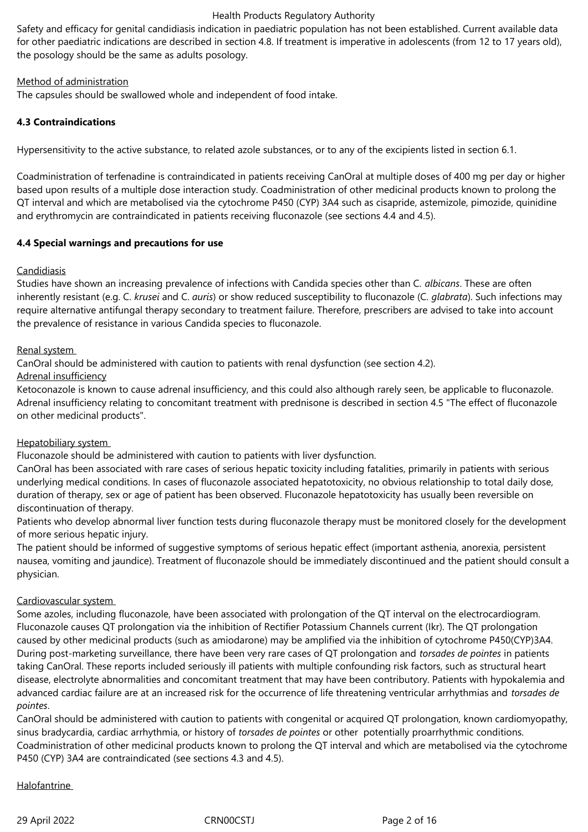Safety and efficacy for genital candidiasis indication in paediatric population has not been established. Current available data for other paediatric indications are described in section 4.8. If treatment is imperative in adolescents (from 12 to 17 years old), the posology should be the same as adults posology.

### Method of administration

The capsules should be swallowed whole and independent of food intake.

### **4.3 Contraindications**

Hypersensitivity to the active substance, to related azole substances, or to any of the excipients listed in section 6.1.

Coadministration of terfenadine is contraindicated in patients receiving CanOral at multiple doses of 400 mg per day or higher based upon results of a multiple dose interaction study. Coadministration of other medicinal products known to prolong the QT interval and which are metabolised via the cytochrome P450 (CYP) 3A4 such as cisapride, astemizole, pimozide, quinidine and erythromycin are contraindicated in patients receiving fluconazole (see sections 4.4 and 4.5).

### **4.4 Special warnings and precautions for use**

### **Candidiasis**

Studies have shown an increasing prevalence of infections with Candida species other than C. *albicans*. These are often inherently resistant (e.g. C. *krusei* and C. *auris*) or show reduced susceptibility to fluconazole (C. *glabrata*). Such infections may require alternative antifungal therapy secondary to treatment failure. Therefore, prescribers are advised to take into account the prevalence of resistance in various Candida species to fluconazole.

### Renal system

CanOral should be administered with caution to patients with renal dysfunction (see section 4.2).

### Adrenal insufficiency

Ketoconazole is known to cause adrenal insufficiency, and this could also although rarely seen, be applicable to fluconazole. Adrenal insufficiency relating to concomitant treatment with prednisone is described in section 4.5 "The effect of fluconazole on other medicinal products".

### Hepatobiliary system

Fluconazole should be administered with caution to patients with liver dysfunction.

CanOral has been associated with rare cases of serious hepatic toxicity including fatalities, primarily in patients with serious underlying medical conditions. In cases of fluconazole associated hepatotoxicity, no obvious relationship to total daily dose, duration of therapy, sex or age of patient has been observed. Fluconazole hepatotoxicity has usually been reversible on discontinuation of therapy.

Patients who develop abnormal liver function tests during fluconazole therapy must be monitored closely for the development of more serious hepatic injury.

The patient should be informed of suggestive symptoms of serious hepatic effect (important asthenia, anorexia, persistent nausea, vomiting and jaundice). Treatment of fluconazole should be immediately discontinued and the patient should consult a physician.

### Cardiovascular system

Some azoles, including fluconazole, have been associated with prolongation of the QT interval on the electrocardiogram. Fluconazole causes QT prolongation via the inhibition of Rectifier Potassium Channels current (Ikr). The QT prolongation caused by other medicinal products (such as amiodarone) may be amplified via the inhibition of cytochrome P450(CYP)3A4. During post-marketing surveillance, there have been very rare cases of QT prolongation and *torsades de pointes* in patients taking CanOral. These reports included seriously ill patients with multiple confounding risk factors, such as structural heart disease, electrolyte abnormalities and concomitant treatment that may have been contributory. Patients with hypokalemia and advanced cardiac failure are at an increased risk for the occurrence of life threatening ventricular arrhythmias and *torsades de pointes*.

CanOral should be administered with caution to patients with congenital or acquired QT prolongation, known cardiomyopathy, sinus bradycardia, cardiac arrhythmia, or history of *torsades de pointes* or other potentially proarrhythmic conditions. Coadministration of other medicinal products known to prolong the QT interval and which are metabolised via the cytochrome P450 (CYP) 3A4 are contraindicated (see sections 4.3 and 4.5).

### Halofantrine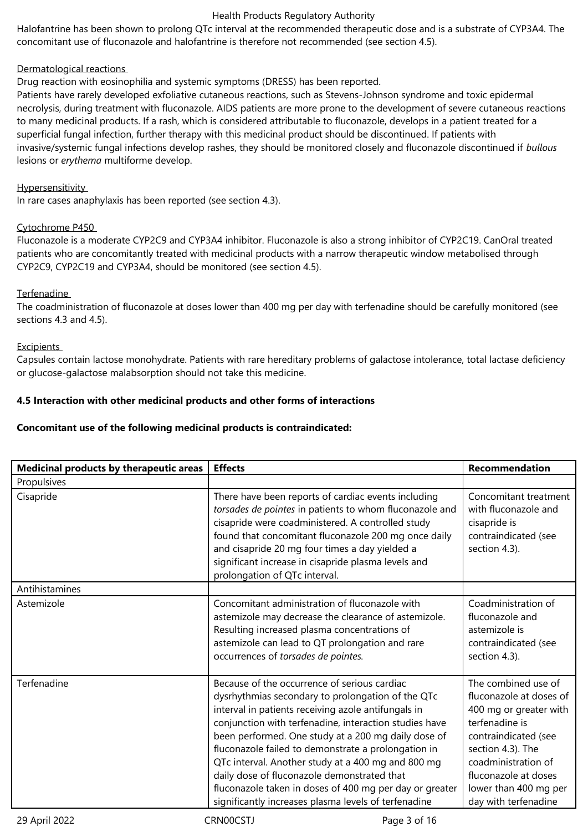Halofantrine has been shown to prolong QTc interval at the recommended therapeutic dose and is a substrate of CYP3A4. The concomitant use of fluconazole and halofantrine is therefore not recommended (see section 4.5).

### Dermatological reactions

Drug reaction with eosinophilia and systemic symptoms (DRESS) has been reported.

Patients have rarely developed exfoliative cutaneous reactions, such as Stevens-Johnson syndrome and toxic epidermal necrolysis, during treatment with fluconazole. AIDS patients are more prone to the development of severe cutaneous reactions to many medicinal products. If a rash, which is considered attributable to fluconazole, develops in a patient treated for a superficial fungal infection, further therapy with this medicinal product should be discontinued. If patients with invasive/systemic fungal infections develop rashes, they should be monitored closely and fluconazole discontinued if *bullous*  lesions or *erythema* multiforme develop.

### **Hypersensitivity**

In rare cases anaphylaxis has been reported (see section 4.3).

### Cytochrome P450

Fluconazole is a moderate CYP2C9 and CYP3A4 inhibitor. Fluconazole is also a strong inhibitor of CYP2C19. CanOral treated patients who are concomitantly treated with medicinal products with a narrow therapeutic window metabolised through CYP2C9, CYP2C19 and CYP3A4, should be monitored (see section 4.5).

### Terfenadine

The coadministration of fluconazole at doses lower than 400 mg per day with terfenadine should be carefully monitored (see sections 4.3 and 4.5).

### **Excipients**

Capsules contain lactose monohydrate. Patients with rare hereditary problems of galactose intolerance, total lactase deficiency or glucose-galactose malabsorption should not take this medicine.

### **4.5 Interaction with other medicinal products and other forms of interactions**

### **Concomitant use of the following medicinal products is contraindicated:**

| Medicinal products by therapeutic areas | <b>Effects</b>                                                                                                                                                                                                                                                                                                                                                                                                                                                                                                                                           | <b>Recommendation</b>                                                                                                                                                                                                                   |
|-----------------------------------------|----------------------------------------------------------------------------------------------------------------------------------------------------------------------------------------------------------------------------------------------------------------------------------------------------------------------------------------------------------------------------------------------------------------------------------------------------------------------------------------------------------------------------------------------------------|-----------------------------------------------------------------------------------------------------------------------------------------------------------------------------------------------------------------------------------------|
| Propulsives                             |                                                                                                                                                                                                                                                                                                                                                                                                                                                                                                                                                          |                                                                                                                                                                                                                                         |
| Cisapride                               | There have been reports of cardiac events including<br>torsades de pointes in patients to whom fluconazole and<br>cisapride were coadministered. A controlled study<br>found that concomitant fluconazole 200 mg once daily<br>and cisapride 20 mg four times a day yielded a<br>significant increase in cisapride plasma levels and<br>prolongation of QTc interval.                                                                                                                                                                                    | Concomitant treatment<br>with fluconazole and<br>cisapride is<br>contraindicated (see<br>section 4.3).                                                                                                                                  |
| Antihistamines                          |                                                                                                                                                                                                                                                                                                                                                                                                                                                                                                                                                          |                                                                                                                                                                                                                                         |
| Astemizole                              | Concomitant administration of fluconazole with<br>astemizole may decrease the clearance of astemizole.<br>Resulting increased plasma concentrations of<br>astemizole can lead to QT prolongation and rare<br>occurrences of torsades de pointes.                                                                                                                                                                                                                                                                                                         | Coadministration of<br>fluconazole and<br>astemizole is<br>contraindicated (see<br>section 4.3).                                                                                                                                        |
| Terfenadine                             | Because of the occurrence of serious cardiac<br>dysrhythmias secondary to prolongation of the QTc<br>interval in patients receiving azole antifungals in<br>conjunction with terfenadine, interaction studies have<br>been performed. One study at a 200 mg daily dose of<br>fluconazole failed to demonstrate a prolongation in<br>QTc interval. Another study at a 400 mg and 800 mg<br>daily dose of fluconazole demonstrated that<br>fluconazole taken in doses of 400 mg per day or greater<br>significantly increases plasma levels of terfenadine | The combined use of<br>fluconazole at doses of<br>400 mg or greater with<br>terfenadine is<br>contraindicated (see<br>section 4.3). The<br>coadministration of<br>fluconazole at doses<br>lower than 400 mg per<br>day with terfenadine |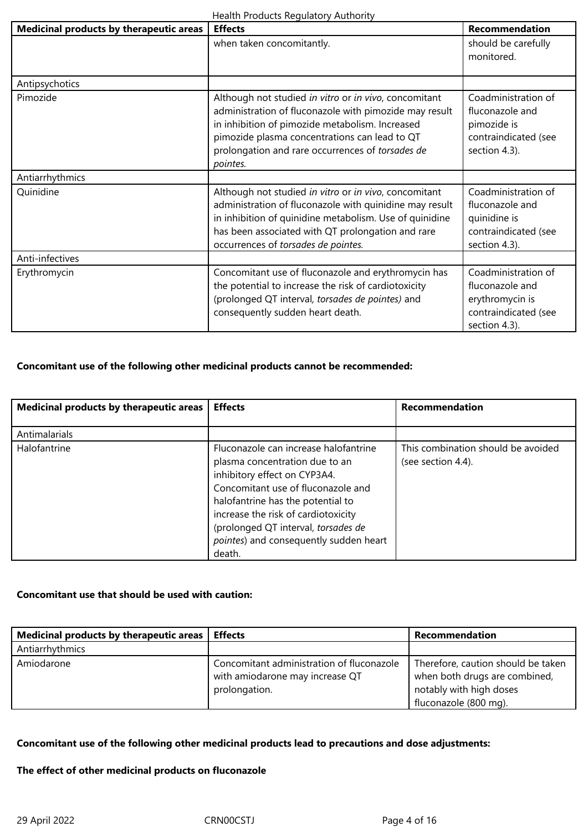| Medicinal products by therapeutic areas | <b>Effects</b>                                                                                                                                                                                                                                                                      | <b>Recommendation</b>                                                                              |
|-----------------------------------------|-------------------------------------------------------------------------------------------------------------------------------------------------------------------------------------------------------------------------------------------------------------------------------------|----------------------------------------------------------------------------------------------------|
|                                         | when taken concomitantly.                                                                                                                                                                                                                                                           | should be carefully<br>monitored.                                                                  |
| Antipsychotics                          |                                                                                                                                                                                                                                                                                     |                                                                                                    |
| Pimozide                                | Although not studied in vitro or in vivo, concomitant<br>administration of fluconazole with pimozide may result<br>in inhibition of pimozide metabolism. Increased<br>pimozide plasma concentrations can lead to QT<br>prolongation and rare occurrences of torsades de<br>pointes. | Coadministration of<br>fluconazole and<br>pimozide is<br>contraindicated (see<br>section 4.3).     |
| Antiarrhythmics                         |                                                                                                                                                                                                                                                                                     |                                                                                                    |
| Quinidine                               | Although not studied in vitro or in vivo, concomitant<br>administration of fluconazole with quinidine may result<br>in inhibition of quinidine metabolism. Use of quinidine<br>has been associated with QT prolongation and rare<br>occurrences of torsades de pointes.             | Coadministration of<br>fluconazole and<br>quinidine is<br>contraindicated (see<br>section 4.3).    |
| Anti-infectives                         |                                                                                                                                                                                                                                                                                     |                                                                                                    |
| Erythromycin                            | Concomitant use of fluconazole and erythromycin has<br>the potential to increase the risk of cardiotoxicity<br>(prolonged QT interval, torsades de pointes) and<br>consequently sudden heart death.                                                                                 | Coadministration of<br>fluconazole and<br>erythromycin is<br>contraindicated (see<br>section 4.3). |

# **Concomitant use of the following other medicinal products cannot be recommended:**

| Medicinal products by therapeutic areas | <b>Effects</b>                                                                                                                                                                     | Recommendation                                           |
|-----------------------------------------|------------------------------------------------------------------------------------------------------------------------------------------------------------------------------------|----------------------------------------------------------|
|                                         |                                                                                                                                                                                    |                                                          |
| Antimalarials                           |                                                                                                                                                                                    |                                                          |
| Halofantrine                            | Fluconazole can increase halofantrine<br>plasma concentration due to an<br>inhibitory effect on CYP3A4.<br>Concomitant use of fluconazole and<br>halofantrine has the potential to | This combination should be avoided<br>(see section 4.4). |
|                                         | increase the risk of cardiotoxicity<br>(prolonged QT interval, torsades de<br>pointes) and consequently sudden heart<br>death.                                                     |                                                          |

# **Concomitant use that should be used with caution:**

| Medicinal products by therapeutic areas | <b>Effects</b>                                                                                | Recommendation                                                                                                          |
|-----------------------------------------|-----------------------------------------------------------------------------------------------|-------------------------------------------------------------------------------------------------------------------------|
| Antiarrhythmics                         |                                                                                               |                                                                                                                         |
| Amiodarone                              | Concomitant administration of fluconazole<br>with amiodarone may increase QT<br>prolongation. | Therefore, caution should be taken<br>when both drugs are combined,<br>notably with high doses<br>fluconazole (800 mg). |

# **Concomitant use of the following other medicinal products lead to precautions and dose adjustments:**

### **The effect of other medicinal products on fluconazole**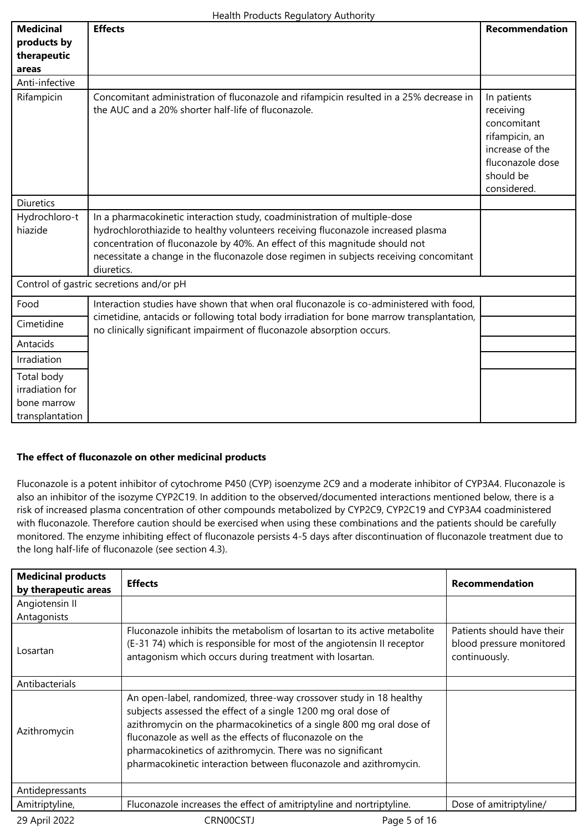| <b>Medicinal</b>                                                | <b>Effects</b>                                                                                                                                                                                                                                                                                                                                       | <b>Recommendation</b>                                                                                                        |
|-----------------------------------------------------------------|------------------------------------------------------------------------------------------------------------------------------------------------------------------------------------------------------------------------------------------------------------------------------------------------------------------------------------------------------|------------------------------------------------------------------------------------------------------------------------------|
| products by                                                     |                                                                                                                                                                                                                                                                                                                                                      |                                                                                                                              |
| therapeutic                                                     |                                                                                                                                                                                                                                                                                                                                                      |                                                                                                                              |
| areas                                                           |                                                                                                                                                                                                                                                                                                                                                      |                                                                                                                              |
| Anti-infective                                                  |                                                                                                                                                                                                                                                                                                                                                      |                                                                                                                              |
| Rifampicin                                                      | Concomitant administration of fluconazole and rifampicin resulted in a 25% decrease in<br>the AUC and a 20% shorter half-life of fluconazole.                                                                                                                                                                                                        | In patients<br>receiving<br>concomitant<br>rifampicin, an<br>increase of the<br>fluconazole dose<br>should be<br>considered. |
| <b>Diuretics</b>                                                |                                                                                                                                                                                                                                                                                                                                                      |                                                                                                                              |
| Hydrochloro-t<br>hiazide                                        | In a pharmacokinetic interaction study, coadministration of multiple-dose<br>hydrochlorothiazide to healthy volunteers receiving fluconazole increased plasma<br>concentration of fluconazole by 40%. An effect of this magnitude should not<br>necessitate a change in the fluconazole dose regimen in subjects receiving concomitant<br>diuretics. |                                                                                                                              |
|                                                                 | Control of gastric secretions and/or pH                                                                                                                                                                                                                                                                                                              |                                                                                                                              |
| Food                                                            | Interaction studies have shown that when oral fluconazole is co-administered with food,                                                                                                                                                                                                                                                              |                                                                                                                              |
| Cimetidine                                                      | cimetidine, antacids or following total body irradiation for bone marrow transplantation,<br>no clinically significant impairment of fluconazole absorption occurs.                                                                                                                                                                                  |                                                                                                                              |
| Antacids                                                        |                                                                                                                                                                                                                                                                                                                                                      |                                                                                                                              |
| Irradiation                                                     |                                                                                                                                                                                                                                                                                                                                                      |                                                                                                                              |
| Total body<br>irradiation for<br>bone marrow<br>transplantation |                                                                                                                                                                                                                                                                                                                                                      |                                                                                                                              |

### **The effect of fluconazole on other medicinal products**

Fluconazole is a potent inhibitor of cytochrome P450 (CYP) isoenzyme 2C9 and a moderate inhibitor of CYP3A4. Fluconazole is also an inhibitor of the isozyme CYP2C19. In addition to the observed/documented interactions mentioned below, there is a risk of increased plasma concentration of other compounds metabolized by CYP2C9, CYP2C19 and CYP3A4 coadministered with fluconazole. Therefore caution should be exercised when using these combinations and the patients should be carefully monitored. The enzyme inhibiting effect of fluconazole persists 4-5 days after discontinuation of fluconazole treatment due to the long half-life of fluconazole (see section 4.3).

| <b>Medicinal products</b><br>by therapeutic areas | <b>Effects</b>                                                                                                                                                                                                                                                                                                                                                                                             | <b>Recommendation</b>                                                   |
|---------------------------------------------------|------------------------------------------------------------------------------------------------------------------------------------------------------------------------------------------------------------------------------------------------------------------------------------------------------------------------------------------------------------------------------------------------------------|-------------------------------------------------------------------------|
| Angiotensin II                                    |                                                                                                                                                                                                                                                                                                                                                                                                            |                                                                         |
| Antagonists                                       |                                                                                                                                                                                                                                                                                                                                                                                                            |                                                                         |
| Losartan                                          | Fluconazole inhibits the metabolism of losartan to its active metabolite<br>(E-31 74) which is responsible for most of the angiotensin II receptor<br>antagonism which occurs during treatment with losartan.                                                                                                                                                                                              | Patients should have their<br>blood pressure monitored<br>continuously. |
| Antibacterials                                    |                                                                                                                                                                                                                                                                                                                                                                                                            |                                                                         |
| Azithromycin                                      | An open-label, randomized, three-way crossover study in 18 healthy<br>subjects assessed the effect of a single 1200 mg oral dose of<br>azithromycin on the pharmacokinetics of a single 800 mg oral dose of<br>fluconazole as well as the effects of fluconazole on the<br>pharmacokinetics of azithromycin. There was no significant<br>pharmacokinetic interaction between fluconazole and azithromycin. |                                                                         |
| Antidepressants                                   |                                                                                                                                                                                                                                                                                                                                                                                                            |                                                                         |
| Amitriptyline,                                    | Fluconazole increases the effect of amitriptyline and nortriptyline.                                                                                                                                                                                                                                                                                                                                       | Dose of amitriptyline/                                                  |
| 29 April 2022                                     | CRN00CSTJ<br>Page 5 of 16                                                                                                                                                                                                                                                                                                                                                                                  |                                                                         |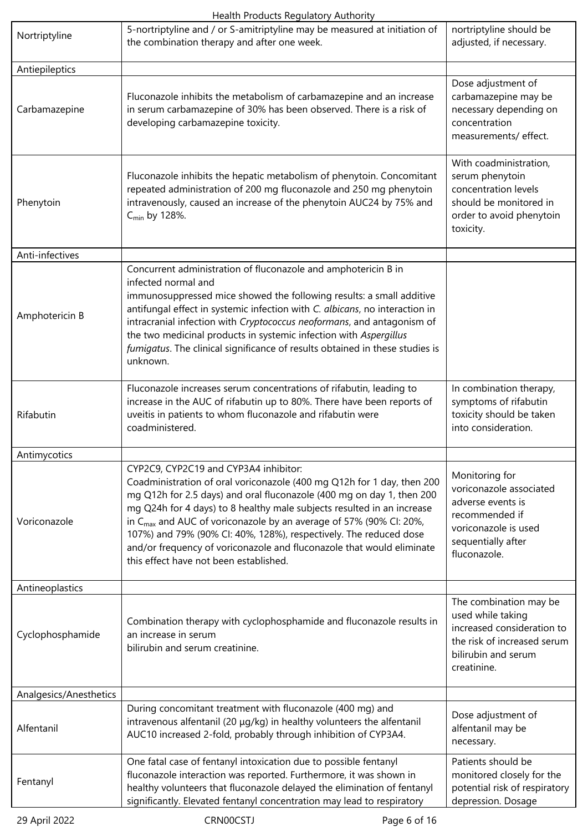| Nortriptyline                                                                                                                                                                                                                                                                                                                                                                                                                                                                                                                                                | 5-nortriptyline and / or S-amitriptyline may be measured at initiation of<br>the combination therapy and after one week.                                                                                                                                                                                                                                                                                                                                                                | nortriptyline should be<br>adjusted, if necessary.                                                                                             |
|--------------------------------------------------------------------------------------------------------------------------------------------------------------------------------------------------------------------------------------------------------------------------------------------------------------------------------------------------------------------------------------------------------------------------------------------------------------------------------------------------------------------------------------------------------------|-----------------------------------------------------------------------------------------------------------------------------------------------------------------------------------------------------------------------------------------------------------------------------------------------------------------------------------------------------------------------------------------------------------------------------------------------------------------------------------------|------------------------------------------------------------------------------------------------------------------------------------------------|
| Antiepileptics                                                                                                                                                                                                                                                                                                                                                                                                                                                                                                                                               |                                                                                                                                                                                                                                                                                                                                                                                                                                                                                         |                                                                                                                                                |
| Carbamazepine                                                                                                                                                                                                                                                                                                                                                                                                                                                                                                                                                | Fluconazole inhibits the metabolism of carbamazepine and an increase<br>in serum carbamazepine of 30% has been observed. There is a risk of<br>developing carbamazepine toxicity.                                                                                                                                                                                                                                                                                                       | Dose adjustment of<br>carbamazepine may be<br>necessary depending on<br>concentration<br>measurements/ effect.                                 |
| Phenytoin                                                                                                                                                                                                                                                                                                                                                                                                                                                                                                                                                    | Fluconazole inhibits the hepatic metabolism of phenytoin. Concomitant<br>repeated administration of 200 mg fluconazole and 250 mg phenytoin<br>intravenously, caused an increase of the phenytoin AUC24 by 75% and<br>$C_{\text{min}}$ by 128%.                                                                                                                                                                                                                                         | With coadministration,<br>serum phenytoin<br>concentration levels<br>should be monitored in<br>order to avoid phenytoin<br>toxicity.           |
| Anti-infectives                                                                                                                                                                                                                                                                                                                                                                                                                                                                                                                                              |                                                                                                                                                                                                                                                                                                                                                                                                                                                                                         |                                                                                                                                                |
| Amphotericin B                                                                                                                                                                                                                                                                                                                                                                                                                                                                                                                                               | Concurrent administration of fluconazole and amphotericin B in<br>infected normal and<br>immunosuppressed mice showed the following results: a small additive<br>antifungal effect in systemic infection with C. albicans, no interaction in<br>intracranial infection with Cryptococcus neoformans, and antagonism of<br>the two medicinal products in systemic infection with Aspergillus<br>fumigatus. The clinical significance of results obtained in these studies is<br>unknown. |                                                                                                                                                |
| Rifabutin                                                                                                                                                                                                                                                                                                                                                                                                                                                                                                                                                    | Fluconazole increases serum concentrations of rifabutin, leading to<br>increase in the AUC of rifabutin up to 80%. There have been reports of<br>uveitis in patients to whom fluconazole and rifabutin were<br>coadministered.                                                                                                                                                                                                                                                          | In combination therapy,<br>symptoms of rifabutin<br>toxicity should be taken<br>into consideration.                                            |
| Antimycotics                                                                                                                                                                                                                                                                                                                                                                                                                                                                                                                                                 |                                                                                                                                                                                                                                                                                                                                                                                                                                                                                         |                                                                                                                                                |
| CYP2C9, CYP2C19 and CYP3A4 inhibitor:<br>Coadministration of oral voriconazole (400 mg Q12h for 1 day, then 200<br>mg Q12h for 2.5 days) and oral fluconazole (400 mg on day 1, then 200<br>mg Q24h for 4 days) to 8 healthy male subjects resulted in an increase<br>in C <sub>max</sub> and AUC of voriconazole by an average of 57% (90% CI: 20%,<br>Voriconazole<br>107%) and 79% (90% CI: 40%, 128%), respectively. The reduced dose<br>and/or frequency of voriconazole and fluconazole that would eliminate<br>this effect have not been established. |                                                                                                                                                                                                                                                                                                                                                                                                                                                                                         | Monitoring for<br>voriconazole associated<br>adverse events is<br>recommended if<br>voriconazole is used<br>sequentially after<br>fluconazole. |
| Antineoplastics                                                                                                                                                                                                                                                                                                                                                                                                                                                                                                                                              |                                                                                                                                                                                                                                                                                                                                                                                                                                                                                         |                                                                                                                                                |
| Cyclophosphamide                                                                                                                                                                                                                                                                                                                                                                                                                                                                                                                                             | Combination therapy with cyclophosphamide and fluconazole results in<br>an increase in serum<br>bilirubin and serum creatinine.                                                                                                                                                                                                                                                                                                                                                         |                                                                                                                                                |
| Analgesics/Anesthetics                                                                                                                                                                                                                                                                                                                                                                                                                                                                                                                                       |                                                                                                                                                                                                                                                                                                                                                                                                                                                                                         |                                                                                                                                                |
| Alfentanil                                                                                                                                                                                                                                                                                                                                                                                                                                                                                                                                                   | During concomitant treatment with fluconazole (400 mg) and<br>intravenous alfentanil (20 µg/kg) in healthy volunteers the alfentanil<br>AUC10 increased 2-fold, probably through inhibition of CYP3A4.                                                                                                                                                                                                                                                                                  | Dose adjustment of<br>alfentanil may be<br>necessary.                                                                                          |
| Fentanyl                                                                                                                                                                                                                                                                                                                                                                                                                                                                                                                                                     | One fatal case of fentanyl intoxication due to possible fentanyl<br>fluconazole interaction was reported. Furthermore, it was shown in<br>healthy volunteers that fluconazole delayed the elimination of fentanyl<br>significantly. Elevated fentanyl concentration may lead to respiratory                                                                                                                                                                                             | Patients should be<br>monitored closely for the<br>potential risk of respiratory<br>depression. Dosage                                         |
| 29 April 2022                                                                                                                                                                                                                                                                                                                                                                                                                                                                                                                                                | CRN00CSTJ<br>Page 6 of 16                                                                                                                                                                                                                                                                                                                                                                                                                                                               |                                                                                                                                                |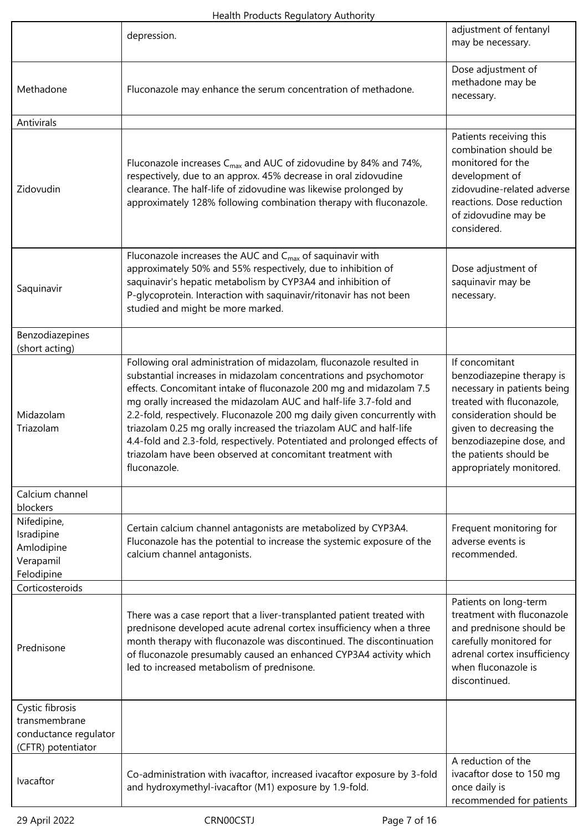|                                                                                                                                                                                                                                                                                                                                                          | depression.                                                                                                                                                                                                                                                                                                                                                                                                                                                                                                                                                                                      | adjustment of fentanyl<br>may be necessary.                                                                                                                                                                                                     |
|----------------------------------------------------------------------------------------------------------------------------------------------------------------------------------------------------------------------------------------------------------------------------------------------------------------------------------------------------------|--------------------------------------------------------------------------------------------------------------------------------------------------------------------------------------------------------------------------------------------------------------------------------------------------------------------------------------------------------------------------------------------------------------------------------------------------------------------------------------------------------------------------------------------------------------------------------------------------|-------------------------------------------------------------------------------------------------------------------------------------------------------------------------------------------------------------------------------------------------|
| Methadone                                                                                                                                                                                                                                                                                                                                                | Fluconazole may enhance the serum concentration of methadone.                                                                                                                                                                                                                                                                                                                                                                                                                                                                                                                                    | Dose adjustment of<br>methadone may be<br>necessary.                                                                                                                                                                                            |
| Antivirals                                                                                                                                                                                                                                                                                                                                               |                                                                                                                                                                                                                                                                                                                                                                                                                                                                                                                                                                                                  |                                                                                                                                                                                                                                                 |
| Zidovudin                                                                                                                                                                                                                                                                                                                                                | Fluconazole increases $C_{\text{max}}$ and AUC of zidovudine by 84% and 74%,<br>respectively, due to an approx. 45% decrease in oral zidovudine<br>clearance. The half-life of zidovudine was likewise prolonged by<br>approximately 128% following combination therapy with fluconazole.                                                                                                                                                                                                                                                                                                        | Patients receiving this<br>combination should be<br>monitored for the<br>development of<br>zidovudine-related adverse<br>reactions. Dose reduction<br>of zidovudine may be<br>considered.                                                       |
| Saquinavir                                                                                                                                                                                                                                                                                                                                               | Fluconazole increases the AUC and C <sub>max</sub> of saquinavir with<br>approximately 50% and 55% respectively, due to inhibition of<br>saquinavir's hepatic metabolism by CYP3A4 and inhibition of<br>P-glycoprotein. Interaction with saquinavir/ritonavir has not been<br>studied and might be more marked.                                                                                                                                                                                                                                                                                  | Dose adjustment of<br>saquinavir may be<br>necessary.                                                                                                                                                                                           |
| Benzodiazepines<br>(short acting)                                                                                                                                                                                                                                                                                                                        |                                                                                                                                                                                                                                                                                                                                                                                                                                                                                                                                                                                                  |                                                                                                                                                                                                                                                 |
| Midazolam<br>Triazolam                                                                                                                                                                                                                                                                                                                                   | Following oral administration of midazolam, fluconazole resulted in<br>substantial increases in midazolam concentrations and psychomotor<br>effects. Concomitant intake of fluconazole 200 mg and midazolam 7.5<br>mg orally increased the midazolam AUC and half-life 3.7-fold and<br>2.2-fold, respectively. Fluconazole 200 mg daily given concurrently with<br>triazolam 0.25 mg orally increased the triazolam AUC and half-life<br>4.4-fold and 2.3-fold, respectively. Potentiated and prolonged effects of<br>triazolam have been observed at concomitant treatment with<br>fluconazole. | If concomitant<br>benzodiazepine therapy is<br>necessary in patients being<br>treated with fluconazole,<br>consideration should be<br>given to decreasing the<br>benzodiazepine dose, and<br>the patients should be<br>appropriately monitored. |
| Calcium channel<br>blockers                                                                                                                                                                                                                                                                                                                              |                                                                                                                                                                                                                                                                                                                                                                                                                                                                                                                                                                                                  |                                                                                                                                                                                                                                                 |
| Nifedipine,<br>Isradipine<br>Amlodipine<br>Verapamil<br>Felodipine                                                                                                                                                                                                                                                                                       | Certain calcium channel antagonists are metabolized by CYP3A4.<br>Fluconazole has the potential to increase the systemic exposure of the<br>calcium channel antagonists.                                                                                                                                                                                                                                                                                                                                                                                                                         | Frequent monitoring for<br>adverse events is<br>recommended.                                                                                                                                                                                    |
| Corticosteroids                                                                                                                                                                                                                                                                                                                                          |                                                                                                                                                                                                                                                                                                                                                                                                                                                                                                                                                                                                  |                                                                                                                                                                                                                                                 |
| There was a case report that a liver-transplanted patient treated with<br>prednisone developed acute adrenal cortex insufficiency when a three<br>month therapy with fluconazole was discontinued. The discontinuation<br>Prednisone<br>of fluconazole presumably caused an enhanced CYP3A4 activity which<br>led to increased metabolism of prednisone. |                                                                                                                                                                                                                                                                                                                                                                                                                                                                                                                                                                                                  | Patients on long-term<br>treatment with fluconazole<br>and prednisone should be<br>carefully monitored for<br>adrenal cortex insufficiency<br>when fluconazole is<br>discontinued.                                                              |
| Cystic fibrosis<br>transmembrane<br>conductance regulator<br>(CFTR) potentiator                                                                                                                                                                                                                                                                          |                                                                                                                                                                                                                                                                                                                                                                                                                                                                                                                                                                                                  |                                                                                                                                                                                                                                                 |
| Ivacaftor                                                                                                                                                                                                                                                                                                                                                | Co-administration with ivacaftor, increased ivacaftor exposure by 3-fold<br>and hydroxymethyl-ivacaftor (M1) exposure by 1.9-fold.                                                                                                                                                                                                                                                                                                                                                                                                                                                               | A reduction of the<br>ivacaftor dose to 150 mg<br>once daily is<br>recommended for patients                                                                                                                                                     |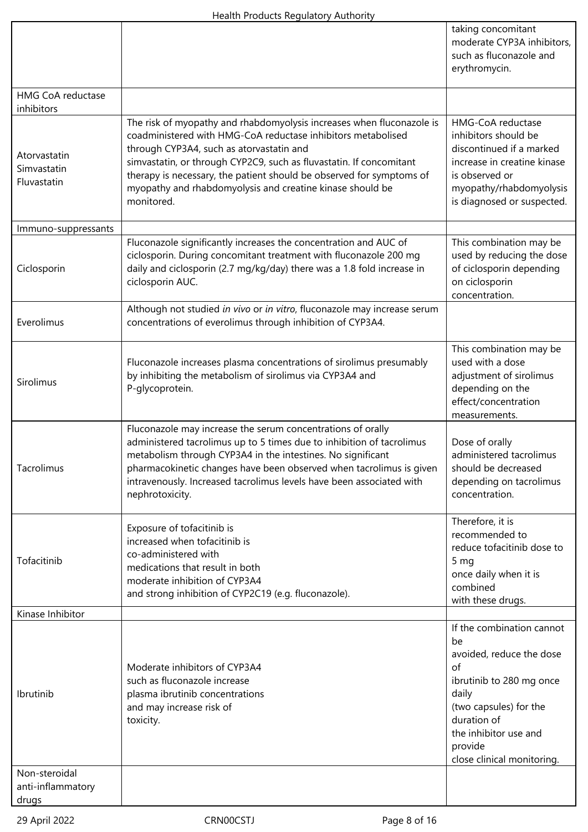|                                             |                                                                                                                                                                                                                                                                                                                                                                                                             | taking concomitant<br>moderate CYP3A inhibitors,<br>such as fluconazole and<br>erythromycin.                                                                                                                      |
|---------------------------------------------|-------------------------------------------------------------------------------------------------------------------------------------------------------------------------------------------------------------------------------------------------------------------------------------------------------------------------------------------------------------------------------------------------------------|-------------------------------------------------------------------------------------------------------------------------------------------------------------------------------------------------------------------|
| <b>HMG CoA reductase</b><br>inhibitors      |                                                                                                                                                                                                                                                                                                                                                                                                             |                                                                                                                                                                                                                   |
| Atorvastatin<br>Simvastatin<br>Fluvastatin  | The risk of myopathy and rhabdomyolysis increases when fluconazole is<br>coadministered with HMG-CoA reductase inhibitors metabolised<br>through CYP3A4, such as atorvastatin and<br>simvastatin, or through CYP2C9, such as fluvastatin. If concomitant<br>therapy is necessary, the patient should be observed for symptoms of<br>myopathy and rhabdomyolysis and creatine kinase should be<br>monitored. | HMG-CoA reductase<br>inhibitors should be<br>discontinued if a marked<br>increase in creatine kinase<br>is observed or<br>myopathy/rhabdomyolysis<br>is diagnosed or suspected.                                   |
| Immuno-suppressants                         |                                                                                                                                                                                                                                                                                                                                                                                                             |                                                                                                                                                                                                                   |
| Ciclosporin                                 | Fluconazole significantly increases the concentration and AUC of<br>ciclosporin. During concomitant treatment with fluconazole 200 mg<br>daily and ciclosporin (2.7 mg/kg/day) there was a 1.8 fold increase in<br>ciclosporin AUC.                                                                                                                                                                         | This combination may be<br>used by reducing the dose<br>of ciclosporin depending<br>on ciclosporin<br>concentration.                                                                                              |
| Everolimus                                  | Although not studied in vivo or in vitro, fluconazole may increase serum<br>concentrations of everolimus through inhibition of CYP3A4.                                                                                                                                                                                                                                                                      |                                                                                                                                                                                                                   |
| Sirolimus                                   | Fluconazole increases plasma concentrations of sirolimus presumably<br>by inhibiting the metabolism of sirolimus via CYP3A4 and<br>P-glycoprotein.                                                                                                                                                                                                                                                          | This combination may be<br>used with a dose<br>adjustment of sirolimus<br>depending on the<br>effect/concentration<br>measurements.                                                                               |
| Tacrolimus                                  | Fluconazole may increase the serum concentrations of orally<br>administered tacrolimus up to 5 times due to inhibition of tacrolimus<br>metabolism through CYP3A4 in the intestines. No significant<br>pharmacokinetic changes have been observed when tacrolimus is given<br>intravenously. Increased tacrolimus levels have been associated with<br>nephrotoxicity.                                       | Dose of orally<br>administered tacrolimus<br>should be decreased<br>depending on tacrolimus<br>concentration.                                                                                                     |
| Tofacitinib                                 | Exposure of tofacitinib is<br>increased when tofacitinib is<br>co-administered with<br>medications that result in both<br>moderate inhibition of CYP3A4<br>and strong inhibition of CYP2C19 (e.g. fluconazole).                                                                                                                                                                                             | Therefore, it is<br>recommended to<br>reduce tofacitinib dose to<br>5 <sub>mg</sub><br>once daily when it is<br>combined<br>with these drugs.                                                                     |
| Kinase Inhibitor                            |                                                                                                                                                                                                                                                                                                                                                                                                             |                                                                                                                                                                                                                   |
| Ibrutinib                                   | Moderate inhibitors of CYP3A4<br>such as fluconazole increase<br>plasma ibrutinib concentrations<br>and may increase risk of<br>toxicity.                                                                                                                                                                                                                                                                   | If the combination cannot<br>be<br>avoided, reduce the dose<br>of<br>ibrutinib to 280 mg once<br>daily<br>(two capsules) for the<br>duration of<br>the inhibitor use and<br>provide<br>close clinical monitoring. |
| Non-steroidal<br>anti-inflammatory<br>drugs |                                                                                                                                                                                                                                                                                                                                                                                                             |                                                                                                                                                                                                                   |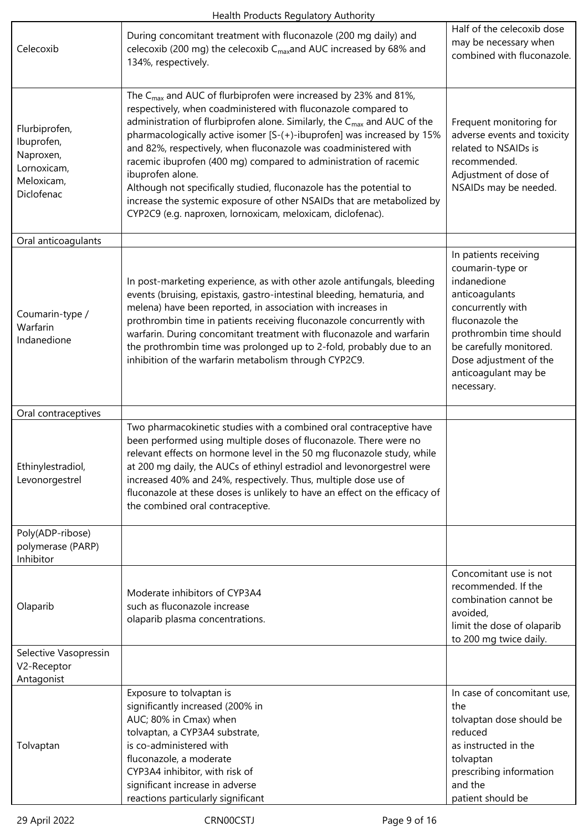| Celecoxib                                                                           | During concomitant treatment with fluconazole (200 mg daily) and<br>celecoxib (200 mg) the celecoxib C <sub>max</sub> and AUC increased by 68% and<br>134%, respectively.                                                                                                                                                                                                                                                                                                                                                                                                                                                                                                                 | Half of the celecoxib dose<br>may be necessary when<br>combined with fluconazole.                                                                                                                                                        |
|-------------------------------------------------------------------------------------|-------------------------------------------------------------------------------------------------------------------------------------------------------------------------------------------------------------------------------------------------------------------------------------------------------------------------------------------------------------------------------------------------------------------------------------------------------------------------------------------------------------------------------------------------------------------------------------------------------------------------------------------------------------------------------------------|------------------------------------------------------------------------------------------------------------------------------------------------------------------------------------------------------------------------------------------|
| Flurbiprofen,<br>Ibuprofen,<br>Naproxen,<br>Lornoxicam,<br>Meloxicam,<br>Diclofenac | The C <sub>max</sub> and AUC of flurbiprofen were increased by 23% and 81%,<br>respectively, when coadministered with fluconazole compared to<br>administration of flurbiprofen alone. Similarly, the C <sub>max</sub> and AUC of the<br>pharmacologically active isomer [S-(+)-ibuprofen] was increased by 15%<br>and 82%, respectively, when fluconazole was coadministered with<br>racemic ibuprofen (400 mg) compared to administration of racemic<br>ibuprofen alone.<br>Although not specifically studied, fluconazole has the potential to<br>increase the systemic exposure of other NSAIDs that are metabolized by<br>CYP2C9 (e.g. naproxen, lornoxicam, meloxicam, diclofenac). | Frequent monitoring for<br>adverse events and toxicity<br>related to NSAIDs is<br>recommended.<br>Adjustment of dose of<br>NSAIDs may be needed.                                                                                         |
| Oral anticoagulants                                                                 |                                                                                                                                                                                                                                                                                                                                                                                                                                                                                                                                                                                                                                                                                           |                                                                                                                                                                                                                                          |
| Coumarin-type /<br>Warfarin<br>Indanedione                                          | In post-marketing experience, as with other azole antifungals, bleeding<br>events (bruising, epistaxis, gastro-intestinal bleeding, hematuria, and<br>melena) have been reported, in association with increases in<br>prothrombin time in patients receiving fluconazole concurrently with<br>warfarin. During concomitant treatment with fluconazole and warfarin<br>the prothrombin time was prolonged up to 2-fold, probably due to an<br>inhibition of the warfarin metabolism through CYP2C9.                                                                                                                                                                                        | In patients receiving<br>coumarin-type or<br>indanedione<br>anticoagulants<br>concurrently with<br>fluconazole the<br>prothrombin time should<br>be carefully monitored.<br>Dose adjustment of the<br>anticoagulant may be<br>necessary. |
| Oral contraceptives                                                                 |                                                                                                                                                                                                                                                                                                                                                                                                                                                                                                                                                                                                                                                                                           |                                                                                                                                                                                                                                          |
| Ethinylestradiol,<br>Levonorgestrel                                                 | Two pharmacokinetic studies with a combined oral contraceptive have<br>been performed using multiple doses of fluconazole. There were no<br>relevant effects on hormone level in the 50 mg fluconazole study, while<br>at 200 mg daily, the AUCs of ethinyl estradiol and levonorgestrel were<br>increased 40% and 24%, respectively. Thus, multiple dose use of<br>fluconazole at these doses is unlikely to have an effect on the efficacy of<br>the combined oral contraceptive.                                                                                                                                                                                                       |                                                                                                                                                                                                                                          |
| Poly(ADP-ribose)<br>polymerase (PARP)<br>Inhibitor                                  |                                                                                                                                                                                                                                                                                                                                                                                                                                                                                                                                                                                                                                                                                           |                                                                                                                                                                                                                                          |
| Olaparib                                                                            | Moderate inhibitors of CYP3A4<br>such as fluconazole increase<br>olaparib plasma concentrations.                                                                                                                                                                                                                                                                                                                                                                                                                                                                                                                                                                                          | Concomitant use is not<br>recommended. If the<br>combination cannot be<br>avoided,<br>limit the dose of olaparib<br>to 200 mg twice daily.                                                                                               |
| Selective Vasopressin<br>V2-Receptor<br>Antagonist                                  |                                                                                                                                                                                                                                                                                                                                                                                                                                                                                                                                                                                                                                                                                           |                                                                                                                                                                                                                                          |
| Tolvaptan                                                                           | Exposure to tolvaptan is<br>significantly increased (200% in<br>AUC; 80% in Cmax) when<br>tolvaptan, a CYP3A4 substrate,<br>is co-administered with<br>fluconazole, a moderate<br>CYP3A4 inhibitor, with risk of<br>significant increase in adverse<br>reactions particularly significant                                                                                                                                                                                                                                                                                                                                                                                                 | In case of concomitant use,<br>the<br>tolvaptan dose should be<br>reduced<br>as instructed in the<br>tolvaptan<br>prescribing information<br>and the<br>patient should be                                                                |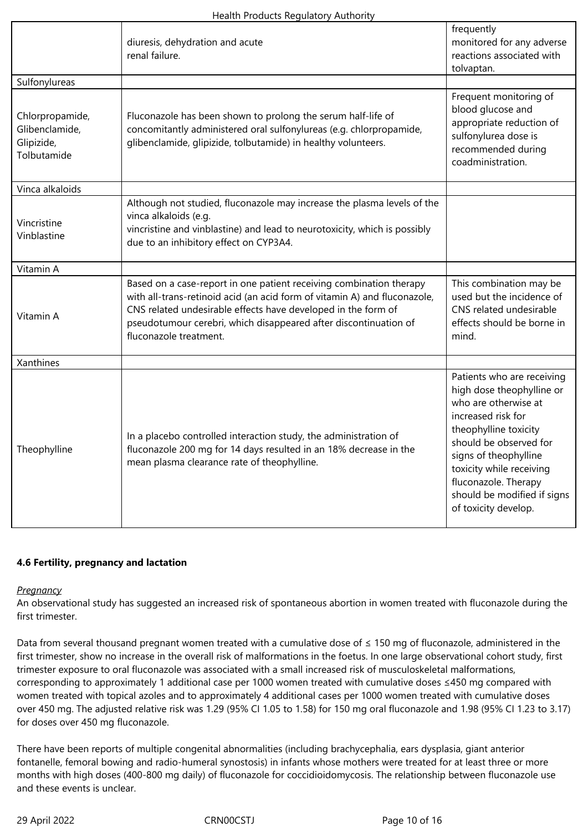|                                                                | diuresis, dehydration and acute<br>renal failure.                                                                                                                                                                                                                                                               | frequently<br>monitored for any adverse<br>reactions associated with<br>tolvaptan.                                                                                                                                                                                                           |
|----------------------------------------------------------------|-----------------------------------------------------------------------------------------------------------------------------------------------------------------------------------------------------------------------------------------------------------------------------------------------------------------|----------------------------------------------------------------------------------------------------------------------------------------------------------------------------------------------------------------------------------------------------------------------------------------------|
| Sulfonylureas                                                  |                                                                                                                                                                                                                                                                                                                 |                                                                                                                                                                                                                                                                                              |
| Chlorpropamide,<br>Glibenclamide,<br>Glipizide,<br>Tolbutamide | Fluconazole has been shown to prolong the serum half-life of<br>concomitantly administered oral sulfonylureas (e.g. chlorpropamide,<br>glibenclamide, glipizide, tolbutamide) in healthy volunteers.                                                                                                            | Frequent monitoring of<br>blood glucose and<br>appropriate reduction of<br>sulfonylurea dose is<br>recommended during<br>coadministration.                                                                                                                                                   |
| Vinca alkaloids                                                |                                                                                                                                                                                                                                                                                                                 |                                                                                                                                                                                                                                                                                              |
| Vincristine<br>Vinblastine                                     | Although not studied, fluconazole may increase the plasma levels of the<br>vinca alkaloids (e.g.<br>vincristine and vinblastine) and lead to neurotoxicity, which is possibly<br>due to an inhibitory effect on CYP3A4.                                                                                         |                                                                                                                                                                                                                                                                                              |
| Vitamin A                                                      |                                                                                                                                                                                                                                                                                                                 |                                                                                                                                                                                                                                                                                              |
| Vitamin A                                                      | Based on a case-report in one patient receiving combination therapy<br>with all-trans-retinoid acid (an acid form of vitamin A) and fluconazole,<br>CNS related undesirable effects have developed in the form of<br>pseudotumour cerebri, which disappeared after discontinuation of<br>fluconazole treatment. | This combination may be<br>used but the incidence of<br>CNS related undesirable<br>effects should be borne in<br>mind.                                                                                                                                                                       |
| Xanthines                                                      |                                                                                                                                                                                                                                                                                                                 |                                                                                                                                                                                                                                                                                              |
| Theophylline                                                   | In a placebo controlled interaction study, the administration of<br>fluconazole 200 mg for 14 days resulted in an 18% decrease in the<br>mean plasma clearance rate of theophylline.                                                                                                                            | Patients who are receiving<br>high dose theophylline or<br>who are otherwise at<br>increased risk for<br>theophylline toxicity<br>should be observed for<br>signs of theophylline<br>toxicity while receiving<br>fluconazole. Therapy<br>should be modified if signs<br>of toxicity develop. |

### **4.6 Fertility, pregnancy and lactation**

#### *Pregnancy*

An observational study has suggested an increased risk of spontaneous abortion in women treated with fluconazole during the first trimester.

Data from several thousand pregnant women treated with a cumulative dose of ≤ 150 mg of fluconazole, administered in the first trimester, show no increase in the overall risk of malformations in the foetus. In one large observational cohort study, first trimester exposure to oral fluconazole was associated with a small increased risk of musculoskeletal malformations, corresponding to approximately 1 additional case per 1000 women treated with cumulative doses ≤450 mg compared with women treated with topical azoles and to approximately 4 additional cases per 1000 women treated with cumulative doses over 450 mg. The adjusted relative risk was 1.29 (95% CI 1.05 to 1.58) for 150 mg oral fluconazole and 1.98 (95% CI 1.23 to 3.17) for doses over 450 mg fluconazole.

There have been reports of multiple congenital abnormalities (including brachycephalia, ears dysplasia, giant anterior fontanelle, femoral bowing and radio-humeral synostosis) in infants whose mothers were treated for at least three or more months with high doses (400-800 mg daily) of fluconazole for coccidioidomycosis. The relationship between fluconazole use and these events is unclear.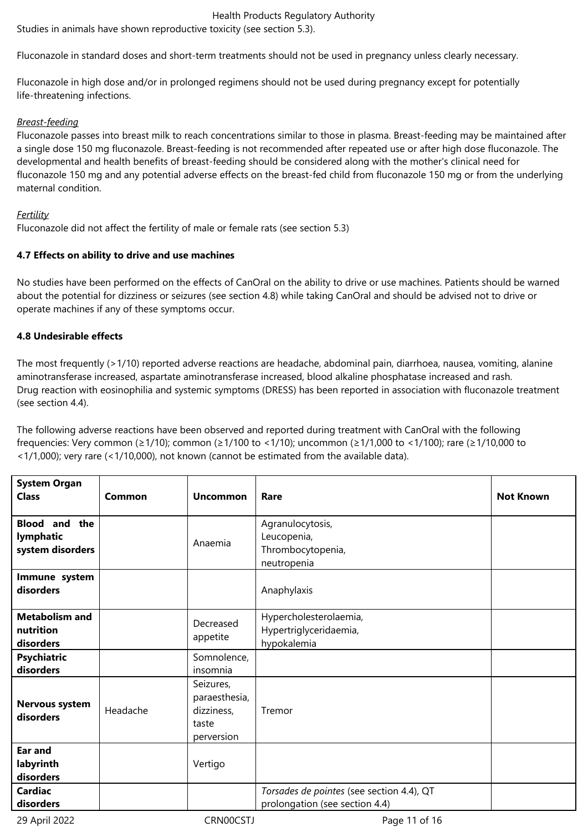Studies in animals have shown reproductive toxicity (see section 5.3).

Fluconazole in standard doses and short-term treatments should not be used in pregnancy unless clearly necessary.

Fluconazole in high dose and/or in prolonged regimens should not be used during pregnancy except for potentially life-threatening infections.

### *Breast-feeding*

Fluconazole passes into breast milk to reach concentrations similar to those in plasma. Breast-feeding may be maintained after a single dose 150 mg fluconazole. Breast-feeding is not recommended after repeated use or after high dose fluconazole. The developmental and health benefits of breast-feeding should be considered along with the mother's clinical need for fluconazole 150 mg and any potential adverse effects on the breast-fed child from fluconazole 150 mg or from the underlying maternal condition.

### *Fertility*

Fluconazole did not affect the fertility of male or female rats (see section 5.3)

### **4.7 Effects on ability to drive and use machines**

No studies have been performed on the effects of CanOral on the ability to drive or use machines. Patients should be warned about the potential for dizziness or seizures (see section 4.8) while taking CanOral and should be advised not to drive or operate machines if any of these symptoms occur.

### **4.8 Undesirable effects**

The most frequently (>1/10) reported adverse reactions are headache, abdominal pain, diarrhoea, nausea, vomiting, alanine aminotransferase increased, aspartate aminotransferase increased, blood alkaline phosphatase increased and rash. Drug reaction with eosinophilia and systemic symptoms (DRESS) has been reported in association with fluconazole treatment (see section 4.4).

The following adverse reactions have been observed and reported during treatment with CanOral with the following frequencies: Very common (≥1/10); common (≥1/100 to <1/10); uncommon (≥1/1,000 to <1/100); rare (≥1/10,000 to <1/1,000); very rare (<1/10,000), not known (cannot be estimated from the available data).

| <b>System Organ</b><br><b>Class</b>                      | Common   | <b>Uncommon</b>                                                 | Rare                                                                        | <b>Not Known</b> |
|----------------------------------------------------------|----------|-----------------------------------------------------------------|-----------------------------------------------------------------------------|------------------|
| <b>Blood</b><br>and the<br>lymphatic<br>system disorders |          | Anaemia                                                         | Agranulocytosis,<br>Leucopenia,<br>Thrombocytopenia,<br>neutropenia         |                  |
| Immune system<br>disorders                               |          |                                                                 | Anaphylaxis                                                                 |                  |
| <b>Metabolism and</b><br>nutrition<br>disorders          |          | Decreased<br>appetite                                           | Hypercholesterolaemia,<br>Hypertriglyceridaemia,<br>hypokalemia             |                  |
| <b>Psychiatric</b><br>disorders                          |          | Somnolence,<br>insomnia                                         |                                                                             |                  |
| Nervous system<br>disorders                              | Headache | Seizures,<br>paraesthesia,<br>dizziness,<br>taste<br>perversion | Tremor                                                                      |                  |
| Ear and<br>labyrinth<br>disorders                        |          | Vertigo                                                         |                                                                             |                  |
| <b>Cardiac</b><br>disorders                              |          |                                                                 | Torsades de pointes (see section 4.4), QT<br>prolongation (see section 4.4) |                  |

29 April 2022 CRN00CSTJ Page 11 of 16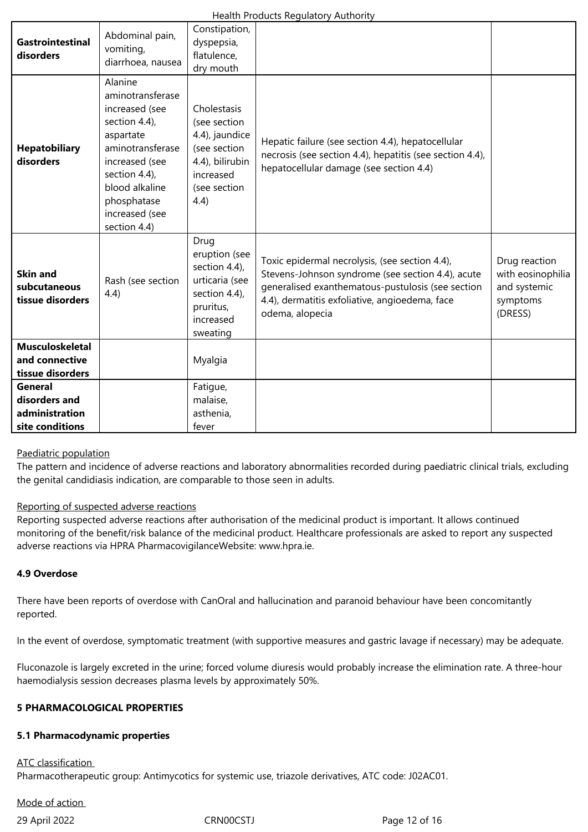| <b>Gastrointestinal</b><br>disorders                          | Abdominal pain,<br>vomiting,<br>diarrhoea, nausea                                                                                                                                                     | Constipation,<br>dyspepsia,<br>flatulence,<br>dry mouth                                                               |                                                                                                                                                                                                                               |                                                                           |
|---------------------------------------------------------------|-------------------------------------------------------------------------------------------------------------------------------------------------------------------------------------------------------|-----------------------------------------------------------------------------------------------------------------------|-------------------------------------------------------------------------------------------------------------------------------------------------------------------------------------------------------------------------------|---------------------------------------------------------------------------|
| <b>Hepatobiliary</b><br>disorders                             | Alanine<br>aminotransferase<br>increased (see<br>section 4.4),<br>aspartate<br>aminotransferase<br>increased (see<br>section 4.4),<br>blood alkaline<br>phosphatase<br>increased (see<br>section 4.4) | Cholestasis<br>(see section<br>4.4), jaundice<br>(see section<br>4.4), bilirubin<br>increased<br>(see section<br>4.4) | Hepatic failure (see section 4.4), hepatocellular<br>necrosis (see section 4.4), hepatitis (see section 4.4),<br>hepatocellular damage (see section 4.4)                                                                      |                                                                           |
| <b>Skin and</b><br>subcutaneous<br>tissue disorders           | Rash (see section<br>4.4)                                                                                                                                                                             | Drug<br>eruption (see<br>section 4.4),<br>urticaria (see<br>section 4.4),<br>pruritus,<br>increased<br>sweating       | Toxic epidermal necrolysis, (see section 4.4),<br>Stevens-Johnson syndrome (see section 4.4), acute<br>generalised exanthematous-pustulosis (see section<br>4.4), dermatitis exfoliative, angioedema, face<br>odema, alopecia | Drug reaction<br>with eosinophilia<br>and systemic<br>symptoms<br>(DRESS) |
| <b>Musculoskeletal</b><br>and connective<br>tissue disorders  |                                                                                                                                                                                                       | Myalgia                                                                                                               |                                                                                                                                                                                                                               |                                                                           |
| General<br>disorders and<br>administration<br>site conditions |                                                                                                                                                                                                       | Fatigue,<br>malaise,<br>asthenia,<br>fever                                                                            |                                                                                                                                                                                                                               |                                                                           |

### Paediatric population

The pattern and incidence of adverse reactions and laboratory abnormalities recorded during paediatric clinical trials, excluding the genital candidiasis indication, are comparable to those seen in adults.

### Reporting of suspected adverse reactions

Reporting suspected adverse reactions after authorisation of the medicinal product is important. It allows continued monitoring of the benefit/risk balance of the medicinal product. Healthcare professionals are asked to report any suspected adverse reactions via HPRA PharmacovigilanceWebsite: www.hpra.ie.

### **4.9 Overdose**

There have been reports of overdose with CanOral and hallucination and paranoid behaviour have been concomitantly reported.

In the event of overdose, symptomatic treatment (with supportive measures and gastric lavage if necessary) may be adequate.

Fluconazole is largely excreted in the urine; forced volume diuresis would probably increase the elimination rate. A three-hour haemodialysis session decreases plasma levels by approximately 50%.

### **5 PHARMACOLOGICAL PROPERTIES**

### **5.1 Pharmacodynamic properties**

ATC classification

Pharmacotherapeutic group: Antimycotics for systemic use, triazole derivatives, ATC code: J02AC01.

# Mode of action

29 April 2022 CRN00CSTJ Page 12 of 16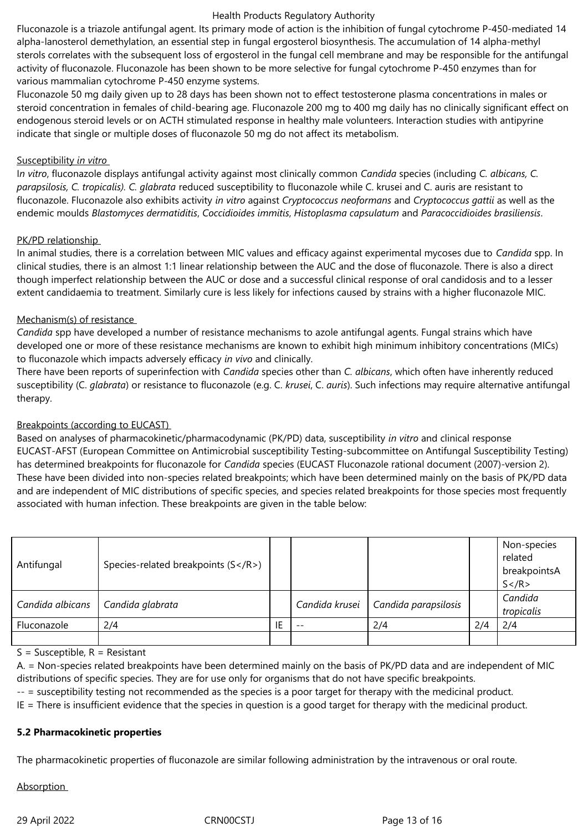Fluconazole is a triazole antifungal agent. Its primary mode of action is the inhibition of fungal cytochrome P-450-mediated 14 alpha-lanosterol demethylation, an essential step in fungal ergosterol biosynthesis. The accumulation of 14 alpha-methyl sterols correlates with the subsequent loss of ergosterol in the fungal cell membrane and may be responsible for the antifungal activity of fluconazole. Fluconazole has been shown to be more selective for fungal cytochrome P-450 enzymes than for various mammalian cytochrome P-450 enzyme systems.

Fluconazole 50 mg daily given up to 28 days has been shown not to effect testosterone plasma concentrations in males or steroid concentration in females of child-bearing age. Fluconazole 200 mg to 400 mg daily has no clinically significant effect on endogenous steroid levels or on ACTH stimulated response in healthy male volunteers. Interaction studies with antipyrine indicate that single or multiple doses of fluconazole 50 mg do not affect its metabolism.

### Susceptibility *in vitro*

I*n vitro*, fluconazole displays antifungal activity against most clinically common *Candida* species (including *C. albicans, C. parapsilosis, C. tropicalis). C. glabrata* reduced susceptibility to fluconazole while C. krusei and C. auris are resistant to fluconazole. Fluconazole also exhibits activity *in vitro* against *Cryptococcus neoformans* and *Cryptococcus gattii* as well as the endemic moulds *Blastomyces dermatiditis*, *Coccidioides immitis*, *Histoplasma capsulatum* and *Paracoccidioides brasiliensis*.

### PK/PD relationship

In animal studies, there is a correlation between MIC values and efficacy against experimental mycoses due to *Candida* spp. In clinical studies, there is an almost 1:1 linear relationship between the AUC and the dose of fluconazole. There is also a direct though imperfect relationship between the AUC or dose and a successful clinical response of oral candidosis and to a lesser extent candidaemia to treatment. Similarly cure is less likely for infections caused by strains with a higher fluconazole MIC.

### Mechanism(s) of resistance

*Candida* spp have developed a number of resistance mechanisms to azole antifungal agents. Fungal strains which have developed one or more of these resistance mechanisms are known to exhibit high minimum inhibitory concentrations (MICs) to fluconazole which impacts adversely efficacy *in vivo* and clinically.

There have been reports of superinfection with *Candida* species other than *C. albicans*, which often have inherently reduced susceptibility (C. *glabrata*) or resistance to fluconazole (e.g. C. *krusei*, C. *auris*). Such infections may require alternative antifungal therapy.

### Breakpoints (according to EUCAST)

Based on analyses of pharmacokinetic/pharmacodynamic (PK/PD) data, susceptibility *in vitro* and clinical response EUCAST-AFST (European Committee on Antimicrobial susceptibility Testing-subcommittee on Antifungal Susceptibility Testing) has determined breakpoints for fluconazole for *Candida* species (EUCAST Fluconazole rational document (2007)-version 2). These have been divided into non-species related breakpoints; which have been determined mainly on the basis of PK/PD data and are independent of MIC distributions of specific species, and species related breakpoints for those species most frequently associated with human infection. These breakpoints are given in the table below:

| Antifungal       | Species-related breakpoints (S) |    |                |                      |     | Non-species<br>related<br>breakpointsA<br>$S$ |
|------------------|---------------------------------|----|----------------|----------------------|-----|-----------------------------------------------|
| Candida albicans | Candida glabrata                |    | Candida krusei | Candida parapsilosis |     | Candida<br>tropicalis                         |
| Fluconazole      | 2/4                             | ΙE | $- -$          | 2/4                  | 2/4 | 2/4                                           |
|                  |                                 |    |                |                      |     |                                               |

 $S =$  Susceptible,  $R =$  Resistant

A. = Non-species related breakpoints have been determined mainly on the basis of PK/PD data and are independent of MIC distributions of specific species. They are for use only for organisms that do not have specific breakpoints.

-- = susceptibility testing not recommended as the species is a poor target for therapy with the medicinal product.

IE = There is insufficient evidence that the species in question is a good target for therapy with the medicinal product.

### **5.2 Pharmacokinetic properties**

The pharmacokinetic properties of fluconazole are similar following administration by the intravenous or oral route.

Absorption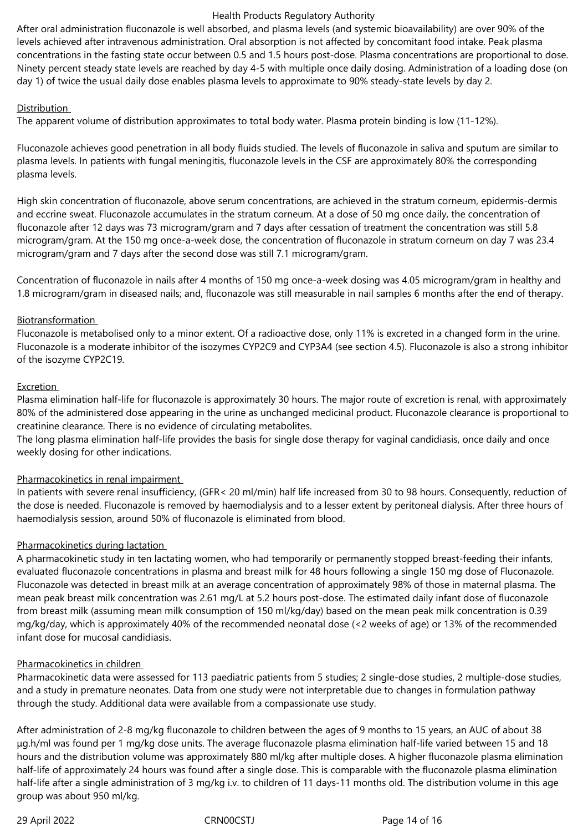After oral administration fluconazole is well absorbed, and plasma levels (and systemic bioavailability) are over 90% of the levels achieved after intravenous administration. Oral absorption is not affected by concomitant food intake. Peak plasma concentrations in the fasting state occur between 0.5 and 1.5 hours post-dose. Plasma concentrations are proportional to dose. Ninety percent steady state levels are reached by day 4-5 with multiple once daily dosing. Administration of a loading dose (on day 1) of twice the usual daily dose enables plasma levels to approximate to 90% steady-state levels by day 2.

### **Distribution**

The apparent volume of distribution approximates to total body water. Plasma protein binding is low (11-12%).

Fluconazole achieves good penetration in all body fluids studied. The levels of fluconazole in saliva and sputum are similar to plasma levels. In patients with fungal meningitis, fluconazole levels in the CSF are approximately 80% the corresponding plasma levels.

High skin concentration of fluconazole, above serum concentrations, are achieved in the stratum corneum, epidermis-dermis and eccrine sweat. Fluconazole accumulates in the stratum corneum. At a dose of 50 mg once daily, the concentration of fluconazole after 12 days was 73 microgram/gram and 7 days after cessation of treatment the concentration was still 5.8 microgram/gram. At the 150 mg once-a-week dose, the concentration of fluconazole in stratum corneum on day 7 was 23.4 microgram/gram and 7 days after the second dose was still 7.1 microgram/gram.

Concentration of fluconazole in nails after 4 months of 150 mg once-a-week dosing was 4.05 microgram/gram in healthy and 1.8 microgram/gram in diseased nails; and, fluconazole was still measurable in nail samples 6 months after the end of therapy.

### **Biotransformation**

Fluconazole is metabolised only to a minor extent. Of a radioactive dose, only 11% is excreted in a changed form in the urine. Fluconazole is a moderate inhibitor of the isozymes CYP2C9 and CYP3A4 (see section 4.5). Fluconazole is also a strong inhibitor of the isozyme CYP2C19.

### Excretion

Plasma elimination half-life for fluconazole is approximately 30 hours. The major route of excretion is renal, with approximately 80% of the administered dose appearing in the urine as unchanged medicinal product. Fluconazole clearance is proportional to creatinine clearance. There is no evidence of circulating metabolites.

The long plasma elimination half-life provides the basis for single dose therapy for vaginal candidiasis, once daily and once weekly dosing for other indications.

### Pharmacokinetics in renal impairment

In patients with severe renal insufficiency, (GFR< 20 ml/min) half life increased from 30 to 98 hours. Consequently, reduction of the dose is needed. Fluconazole is removed by haemodialysis and to a lesser extent by peritoneal dialysis. After three hours of haemodialysis session, around 50% of fluconazole is eliminated from blood.

### Pharmacokinetics during lactation

A pharmacokinetic study in ten lactating women, who had temporarily or permanently stopped breast-feeding their infants, evaluated fluconazole concentrations in plasma and breast milk for 48 hours following a single 150 mg dose of Fluconazole. Fluconazole was detected in breast milk at an average concentration of approximately 98% of those in maternal plasma. The mean peak breast milk concentration was 2.61 mg/L at 5.2 hours post-dose. The estimated daily infant dose of fluconazole from breast milk (assuming mean milk consumption of 150 ml/kg/day) based on the mean peak milk concentration is 0.39 mg/kg/day, which is approximately 40% of the recommended neonatal dose (<2 weeks of age) or 13% of the recommended infant dose for mucosal candidiasis.

### Pharmacokinetics in children

Pharmacokinetic data were assessed for 113 paediatric patients from 5 studies; 2 single-dose studies, 2 multiple-dose studies, and a study in premature neonates. Data from one study were not interpretable due to changes in formulation pathway through the study. Additional data were available from a compassionate use study.

After administration of 2-8 mg/kg fluconazole to children between the ages of 9 months to 15 years, an AUC of about 38 μg.h/ml was found per 1 mg/kg dose units. The average fluconazole plasma elimination half-life varied between 15 and 18 hours and the distribution volume was approximately 880 ml/kg after multiple doses. A higher fluconazole plasma elimination half-life of approximately 24 hours was found after a single dose. This is comparable with the fluconazole plasma elimination half-life after a single administration of 3 mg/kg i.v. to children of 11 days-11 months old. The distribution volume in this age group was about 950 ml/kg.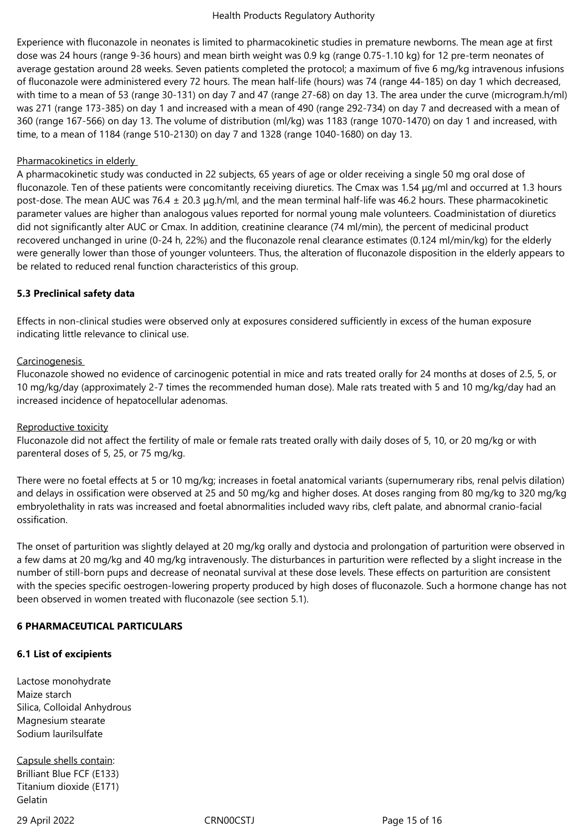Experience with fluconazole in neonates is limited to pharmacokinetic studies in premature newborns. The mean age at first dose was 24 hours (range 9-36 hours) and mean birth weight was 0.9 kg (range 0.75-1.10 kg) for 12 pre-term neonates of average gestation around 28 weeks. Seven patients completed the protocol; a maximum of five 6 mg/kg intravenous infusions of fluconazole were administered every 72 hours. The mean half-life (hours) was 74 (range 44-185) on day 1 which decreased, with time to a mean of 53 (range 30-131) on day 7 and 47 (range 27-68) on day 13. The area under the curve (microgram.h/ml) was 271 (range 173-385) on day 1 and increased with a mean of 490 (range 292-734) on day 7 and decreased with a mean of 360 (range 167-566) on day 13. The volume of distribution (ml/kg) was 1183 (range 1070-1470) on day 1 and increased, with time, to a mean of 1184 (range 510-2130) on day 7 and 1328 (range 1040-1680) on day 13.

### Pharmacokinetics in elderly

A pharmacokinetic study was conducted in 22 subjects, 65 years of age or older receiving a single 50 mg oral dose of fluconazole. Ten of these patients were concomitantly receiving diuretics. The Cmax was 1.54 μg/ml and occurred at 1.3 hours post-dose. The mean AUC was 76.4 ± 20.3 μg.h/ml, and the mean terminal half-life was 46.2 hours. These pharmacokinetic parameter values are higher than analogous values reported for normal young male volunteers. Coadministation of diuretics did not significantly alter AUC or Cmax. In addition, creatinine clearance (74 ml/min), the percent of medicinal product recovered unchanged in urine (0-24 h, 22%) and the fluconazole renal clearance estimates (0.124 ml/min/kg) for the elderly were generally lower than those of younger volunteers. Thus, the alteration of fluconazole disposition in the elderly appears to be related to reduced renal function characteristics of this group.

### **5.3 Preclinical safety data**

Effects in non-clinical studies were observed only at exposures considered sufficiently in excess of the human exposure indicating little relevance to clinical use.

### Carcinogenesis

Fluconazole showed no evidence of carcinogenic potential in mice and rats treated orally for 24 months at doses of 2.5, 5, or 10 mg/kg/day (approximately 2-7 times the recommended human dose). Male rats treated with 5 and 10 mg/kg/day had an increased incidence of hepatocellular adenomas.

### Reproductive toxicity

Fluconazole did not affect the fertility of male or female rats treated orally with daily doses of 5, 10, or 20 mg/kg or with parenteral doses of 5, 25, or 75 mg/kg.

There were no foetal effects at 5 or 10 mg/kg; increases in foetal anatomical variants (supernumerary ribs, renal pelvis dilation) and delays in ossification were observed at 25 and 50 mg/kg and higher doses. At doses ranging from 80 mg/kg to 320 mg/kg embryolethality in rats was increased and foetal abnormalities included wavy ribs, cleft palate, and abnormal cranio-facial ossification.

The onset of parturition was slightly delayed at 20 mg/kg orally and dystocia and prolongation of parturition were observed in a few dams at 20 mg/kg and 40 mg/kg intravenously. The disturbances in parturition were reflected by a slight increase in the number of still-born pups and decrease of neonatal survival at these dose levels. These effects on parturition are consistent with the species specific oestrogen-lowering property produced by high doses of fluconazole. Such a hormone change has not been observed in women treated with fluconazole (see section 5.1).

### **6 PHARMACEUTICAL PARTICULARS**

### **6.1 List of excipients**

Lactose monohydrate Maize starch Silica, Colloidal Anhydrous Magnesium stearate Sodium laurilsulfate

Capsule shells contain: Brilliant Blue FCF (E133) Titanium dioxide (E171) Gelatin

29 April 2022 CRN00CSTJ Page 15 of 16